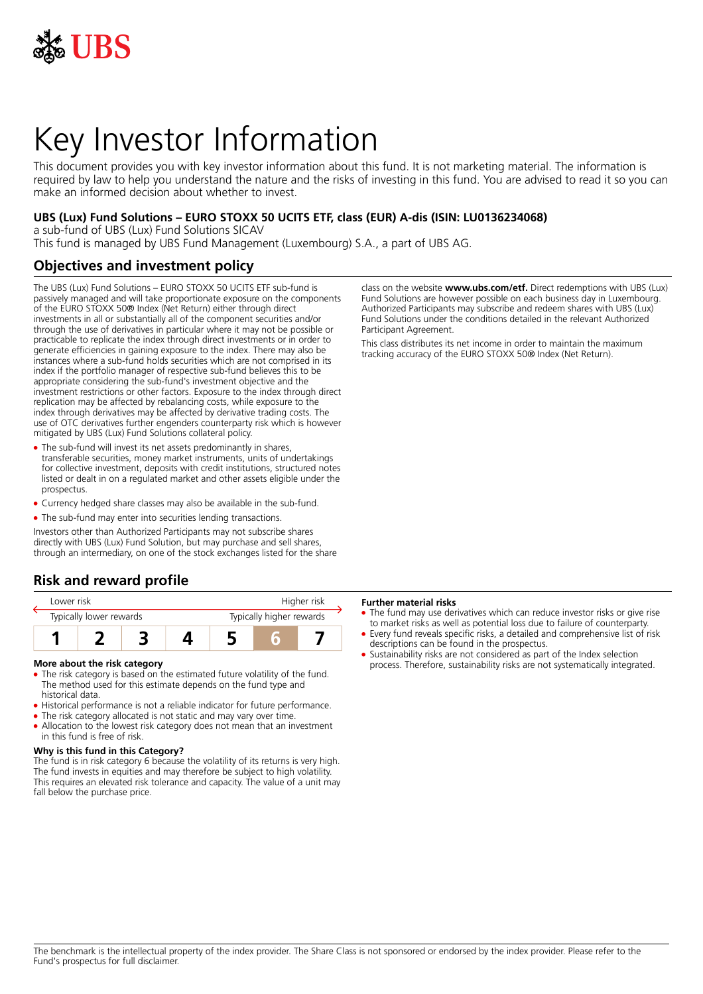

# Key Investor Information

This document provides you with key investor information about this fund. It is not marketing material. The information is required by law to help you understand the nature and the risks of investing in this fund. You are advised to read it so you can make an informed decision about whether to invest.

### **UBS (Lux) Fund Solutions – EURO STOXX 50 UCITS ETF, class (EUR) A-dis (ISIN: LU0136234068)**

a sub-fund of UBS (Lux) Fund Solutions SICAV

This fund is managed by UBS Fund Management (Luxembourg) S.A., a part of UBS AG.

# **Objectives and investment policy**

The UBS (Lux) Fund Solutions – EURO STOXX 50 UCITS ETF sub-fund is passively managed and will take proportionate exposure on the components of the EURO STOXX 50® Index (Net Return) either through direct investments in all or substantially all of the component securities and/or through the use of derivatives in particular where it may not be possible or practicable to replicate the index through direct investments or in order to generate efficiencies in gaining exposure to the index. There may also be instances where a sub-fund holds securities which are not comprised in its index if the portfolio manager of respective sub-fund believes this to be appropriate considering the sub-fund's investment objective and the investment restrictions or other factors. Exposure to the index through direct replication may be affected by rebalancing costs, while exposure to the index through derivatives may be affected by derivative trading costs. The use of OTC derivatives further engenders counterparty risk which is however mitigated by UBS (Lux) Fund Solutions collateral policy.

- The sub-fund will invest its net assets predominantly in shares, transferable securities, money market instruments, units of undertakings for collective investment, deposits with credit institutions, structured notes listed or dealt in on a regulated market and other assets eligible under the prospectus.
- Currency hedged share classes may also be available in the sub-fund.
- The sub-fund may enter into securities lending transactions.

Investors other than Authorized Participants may not subscribe shares directly with UBS (Lux) Fund Solution, but may purchase and sell shares, through an intermediary, on one of the stock exchanges listed for the share

# **Risk and reward profile**

| Lower risk              |  |  |  | Higher risk              |  |  |
|-------------------------|--|--|--|--------------------------|--|--|
| Typically lower rewards |  |  |  | Typically higher rewards |  |  |
|                         |  |  |  |                          |  |  |

#### **More about the risk category**

- The risk category is based on the estimated future volatility of the fund. The method used for this estimate depends on the fund type and historical data.
- Historical performance is not a reliable indicator for future performance.
- The risk category allocated is not static and may vary over time. • Allocation to the lowest risk category does not mean that an investment in this fund is free of risk.

#### **Why is this fund in this Category?**

The fund is in risk category 6 because the volatility of its returns is very high. The fund invests in equities and may therefore be subject to high volatility. This requires an elevated risk tolerance and capacity. The value of a unit may fall below the purchase price.

class on the website **www.ubs.com/etf.** Direct redemptions with UBS (Lux) Fund Solutions are however possible on each business day in Luxembourg. Authorized Participants may subscribe and redeem shares with UBS (Lux) Fund Solutions under the conditions detailed in the relevant Authorized Participant Agreement.

This class distributes its net income in order to maintain the maximum tracking accuracy of the EURO STOXX 50® Index (Net Return).

#### **Further material risks**

- The fund may use derivatives which can reduce investor risks or give rise to market risks as well as potential loss due to failure of counterparty.
- Every fund reveals specific risks, a detailed and comprehensive list of risk descriptions can be found in the prospectus.
- Sustainability risks are not considered as part of the Index selection process. Therefore, sustainability risks are not systematically integrated.